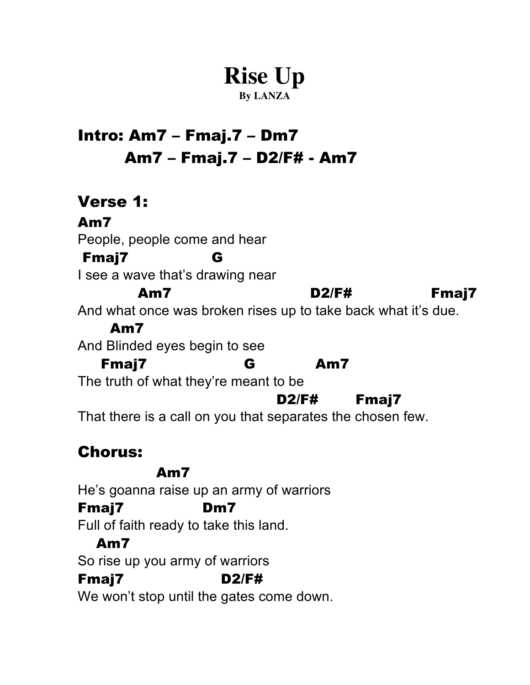# **Rise Up**

#### **By LANZA**

## Intro: Am7 – Fmaj.7 – Dm7 Am7 – Fmaj.7 – D2/F# - Am7

#### Verse 1: Am7 People, people come and hear Fmaj7 G I see a wave that's drawing near Am7 D2/F# Fmaj7 And what once was broken rises up to take back what it's due. Am7 And Blinded eyes begin to see Fmaj7 G Am7 The truth of what they're meant to be D2/F# Fmaj7 That there is a call on you that separates the chosen few.

### Chorus:

#### Am7

He's goanna raise up an army of warriors

#### Fmaj7 Dm7

Full of faith ready to take this land.

#### Am7

So rise up you army of warriors

#### Fmaj7 D2/F#

We won't stop until the gates come down.